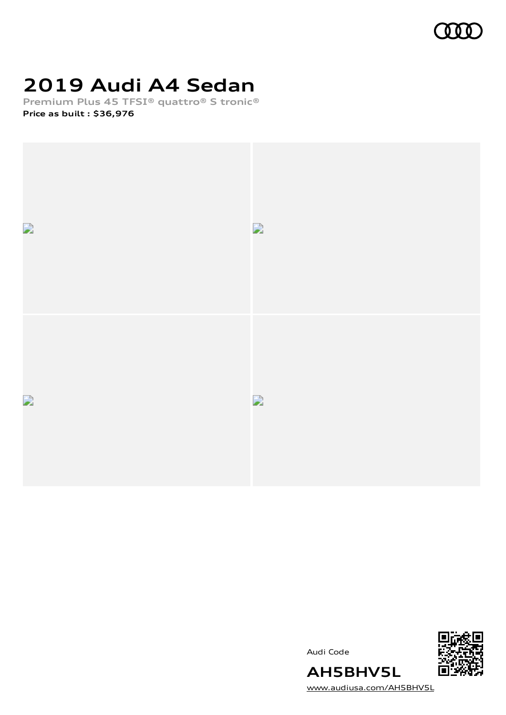

# **2019 Audi A4 Sedan**

**Premium Plus 45 TFSI® quattro® S tronic® Price as built [:](#page-8-0) \$36,976**







[www.audiusa.com/AH5BHV5L](https://www.audiusa.com/AH5BHV5L)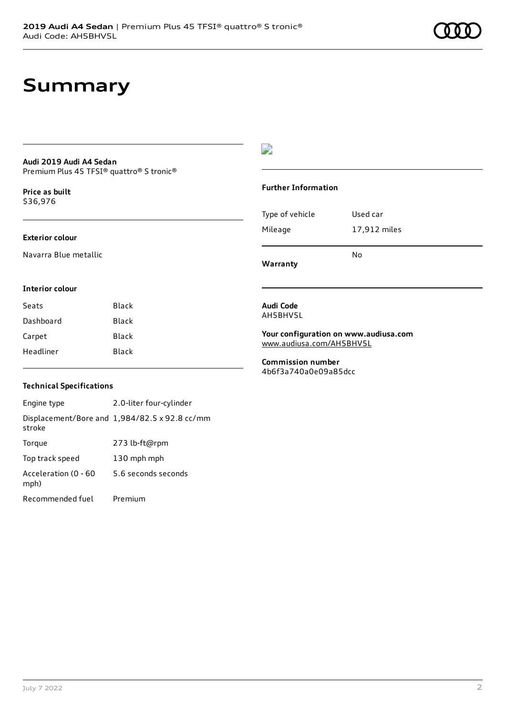### **Summary**

#### **Audi 2019 Audi A4 Sedan** Premium Plus 45 TFSI® quattro® S tronic®

**Price as buil[t](#page-8-0)** \$36,976

#### **Exterior colour**

Navarra Blue metallic

### D

#### **Further Information**

| Warranty        | N٥           |
|-----------------|--------------|
| Mileage         | 17,912 miles |
| Type of vehicle | Used car     |

#### **Interior colour**

| Black |
|-------|
| Black |
| Black |
| Black |
|       |

#### **Audi Code** AH5BHV5L

**Your configuration on www.audiusa.com** [www.audiusa.com/AH5BHV5L](https://www.audiusa.com/AH5BHV5L)

**Commission number** 4b6f3a740a0e09a85dcc

#### **Technical Specifications**

Engine type 2.0-liter four-cylinder Displacement/Bore and 1,984/82.5 x 92.8 cc/mm stroke Torque 273 lb-ft@rpm Top track speed 130 mph mph Acceleration (0 - 60 mph) 5.6 seconds seconds Recommended fuel Premium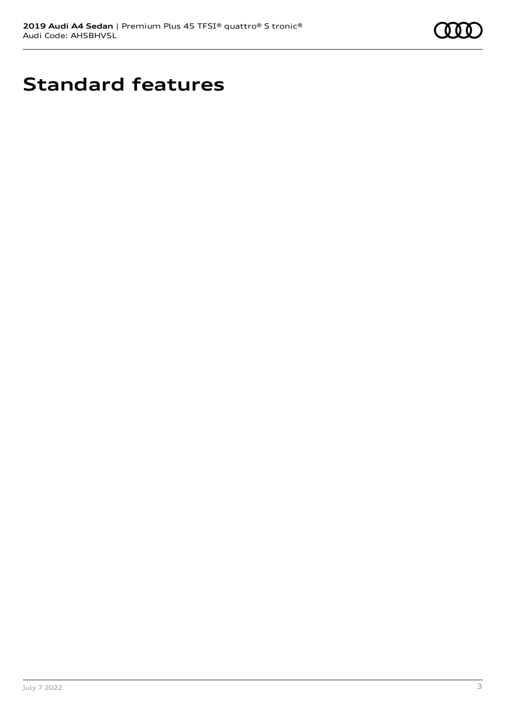

# **Standard features**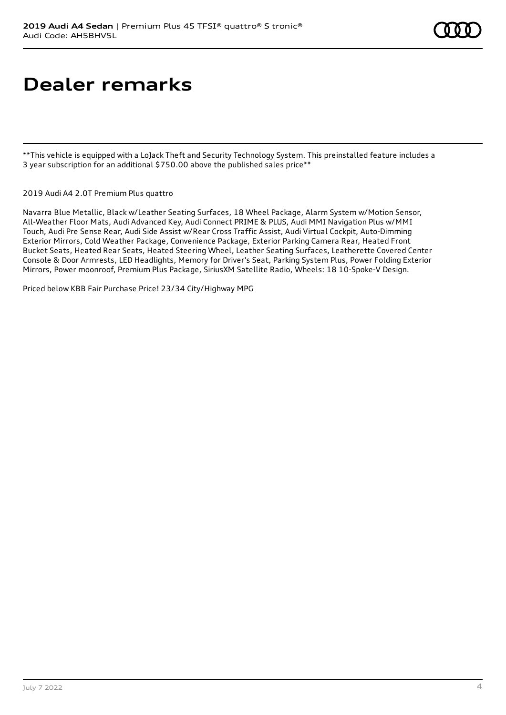# **Dealer remarks**

\*\*This vehicle is equipped with a LoJack Theft and Security Technology System. This preinstalled feature includes a 3 year subscription for an additional \$750.00 above the published sales price\*\*

2019 Audi A4 2.0T Premium Plus quattro

Navarra Blue Metallic, Black w/Leather Seating Surfaces, 18 Wheel Package, Alarm System w/Motion Sensor, All-Weather Floor Mats, Audi Advanced Key, Audi Connect PRIME & PLUS, Audi MMI Navigation Plus w/MMI Touch, Audi Pre Sense Rear, Audi Side Assist w/Rear Cross Traffic Assist, Audi Virtual Cockpit, Auto-Dimming Exterior Mirrors, Cold Weather Package, Convenience Package, Exterior Parking Camera Rear, Heated Front Bucket Seats, Heated Rear Seats, Heated Steering Wheel, Leather Seating Surfaces, Leatherette Covered Center Console & Door Armrests, LED Headlights, Memory for Driver's Seat, Parking System Plus, Power Folding Exterior Mirrors, Power moonroof, Premium Plus Package, SiriusXM Satellite Radio, Wheels: 18 10-Spoke-V Design.

Priced below KBB Fair Purchase Price! 23/34 City/Highway MPG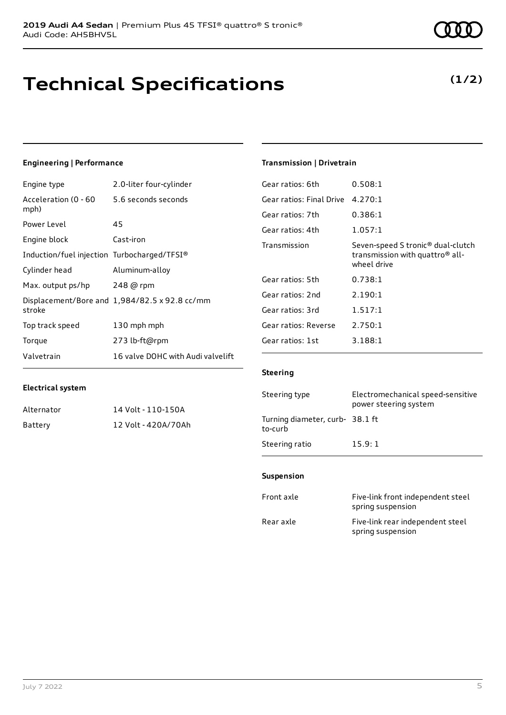### **Technical Specifications**

July 7 2022 5

### **Engineering | Performance**

**Electrical system**

Engine type 2.0-liter four-cylinder

Alternator 14 Volt - 110-150A Battery 12 Volt - 420A/70Ah

| Acceleration (0 - 60<br>mph)                | 5.6 seconds seconds                           |
|---------------------------------------------|-----------------------------------------------|
| Power Level                                 | 45                                            |
| Engine block                                | Cast-iron                                     |
| Induction/fuel injection Turbocharged/TFSI® |                                               |
| Cylinder head                               | Aluminum-alloy                                |
| Max. output ps/hp                           | 248 @ rpm                                     |
| stroke                                      | Displacement/Bore and 1,984/82.5 x 92.8 cc/mm |
| Top track speed                             | 130 mph mph                                   |
| Torque                                      | 273 lb-ft@rpm                                 |
| Valvetrain                                  | 16 valve DOHC with Audi valvelift             |

#### **Transmission | Drivetrain**

| Gear ratios: 6th         | 0.508:1                                                                                                     |
|--------------------------|-------------------------------------------------------------------------------------------------------------|
| Gear ratios: Final Drive | 4.270:1                                                                                                     |
| Gear ratios: 7th         | 0.386:1                                                                                                     |
| Gear ratios: 4th         | 1.057:1                                                                                                     |
| Transmission             | Seven-speed S tronic <sup>®</sup> dual-clutch<br>transmission with quattro <sup>®</sup> all-<br>wheel drive |
| Gear ratios: 5th         | 0.738:1                                                                                                     |
| Gear ratios: 2nd         | 2.190:1                                                                                                     |
| Gear ratios: 3rd         | 1.517:1                                                                                                     |
| Gear ratios: Reverse     | 2.750:1                                                                                                     |
| Gear ratios: 1st         | 3.188:1                                                                                                     |

#### **Steering**

| Steering type                             | Electromechanical speed-sensitive<br>power steering system |
|-------------------------------------------|------------------------------------------------------------|
| Turning diameter, curb-38.1 ft<br>to-curb |                                                            |
| Steering ratio                            | 15.9:1                                                     |

#### **Suspension**

| Front axle | Five-link front independent steel<br>spring suspension |
|------------|--------------------------------------------------------|
| Rear axle  | Five-link rear independent steel<br>spring suspension  |

**(1/2)**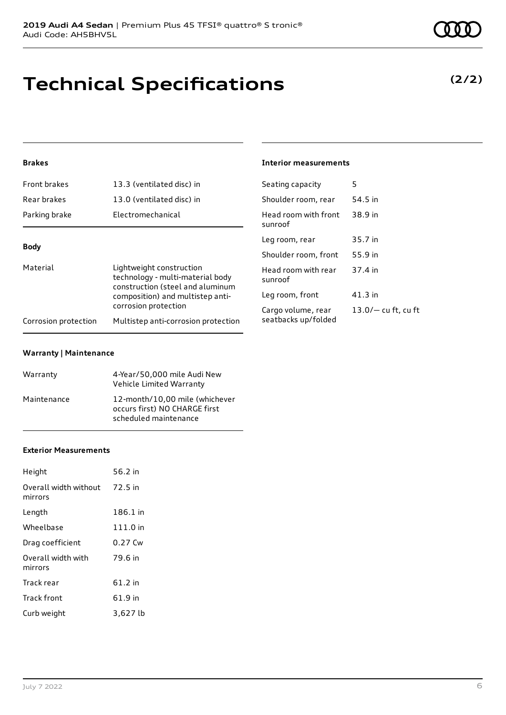# **Technical Specifications**

### **Brakes**

| Front brakes         | 13.3 (ventilated disc) in                                                                        | Seating capacity                          | 5                    |
|----------------------|--------------------------------------------------------------------------------------------------|-------------------------------------------|----------------------|
| Rear brakes          | 13.0 (ventilated disc) in                                                                        | Shoulder room, rear                       | 54.5 in              |
| Parking brake        | Electromechanical                                                                                | Head room with front<br>sunroof           | 38.9 in              |
|                      |                                                                                                  | Leg room, rear                            | 35.7 in              |
| <b>Body</b>          |                                                                                                  | Shoulder room, front                      | 55.9 in              |
| Material             | Lightweight construction<br>technology - multi-material body<br>construction (steel and aluminum | Head room with rear<br>sunroof            | 37.4 in              |
|                      | composition) and multistep anti-                                                                 | Leg room, front                           | $41.3$ in            |
| Corrosion protection | corrosion protection<br>Multistep anti-corrosion protection                                      | Cargo volume, rear<br>seatbacks up/folded | $13.0/-$ cu ft, cu f |
|                      |                                                                                                  |                                           |                      |

#### **Warranty | Maintenance**

| Warranty    | 4-Year/50,000 mile Audi New<br>Vehicle Limited Warranty                                  |
|-------------|------------------------------------------------------------------------------------------|
| Maintenance | 12-month/10.00 mile (whichever<br>occurs first) NO CHARGE first<br>scheduled maintenance |

#### **Exterior Measurements**

| Height                           | 56.2 in   |
|----------------------------------|-----------|
| Overall width without<br>mirrors | 72.5 in   |
| Length                           | 186.1 in  |
| Wheelbase                        | 111.0 in  |
| Drag coefficient                 | 0.27 Cw   |
| Overall width with<br>mirrors    | 79.6 in   |
| Track rear                       | $61.2$ in |
| Track front                      | 61.9 in   |
| Curb weight                      | 3,627 lb  |

### **(2/2)**

### **Interior measurements**

| Seating capacity                          | 5                     |
|-------------------------------------------|-----------------------|
| Shoulder room, rear                       | 54.5 in               |
| Head room with front<br>sunroof           | 38.9 in               |
| Leg room, rear                            | 35.7 in               |
| Shoulder room, front                      | 55.9 in               |
| Head room with rear<br>sunroof            | 37.4 in               |
| Leg room, front                           | $41.3$ in             |
| Cargo volume, rear<br>seatbacks up/folded | $13.0/-$ cu ft, cu ft |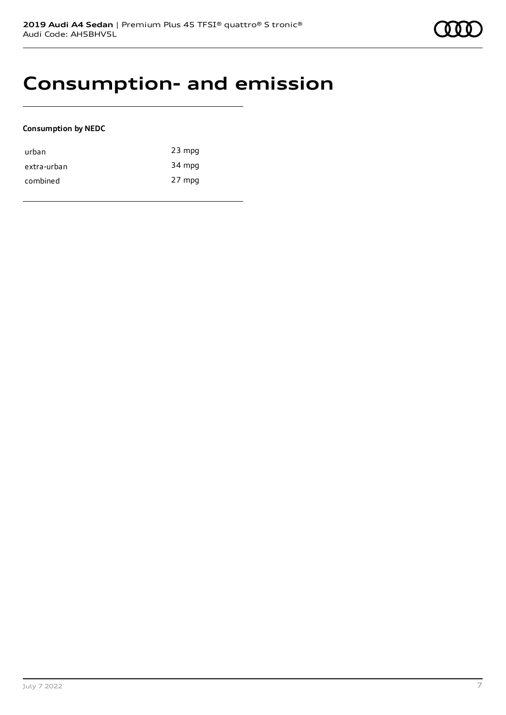### **Consumption- and emission**

#### **Consumption by NEDC**

| urban       | $23$ mpg |
|-------------|----------|
| extra-urban | 34 mpg   |
| combined    | 27 mpg   |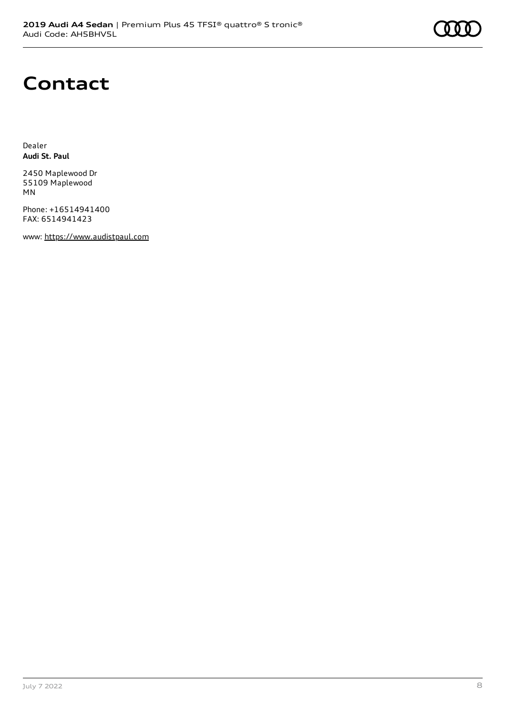# **Contact**

Dealer **Audi St. Paul**

2450 Maplewood Dr 55109 Maplewood MN

Phone: +16514941400 FAX: 6514941423

www: [https://www.audistpaul.com](https://www.audistpaul.com/)